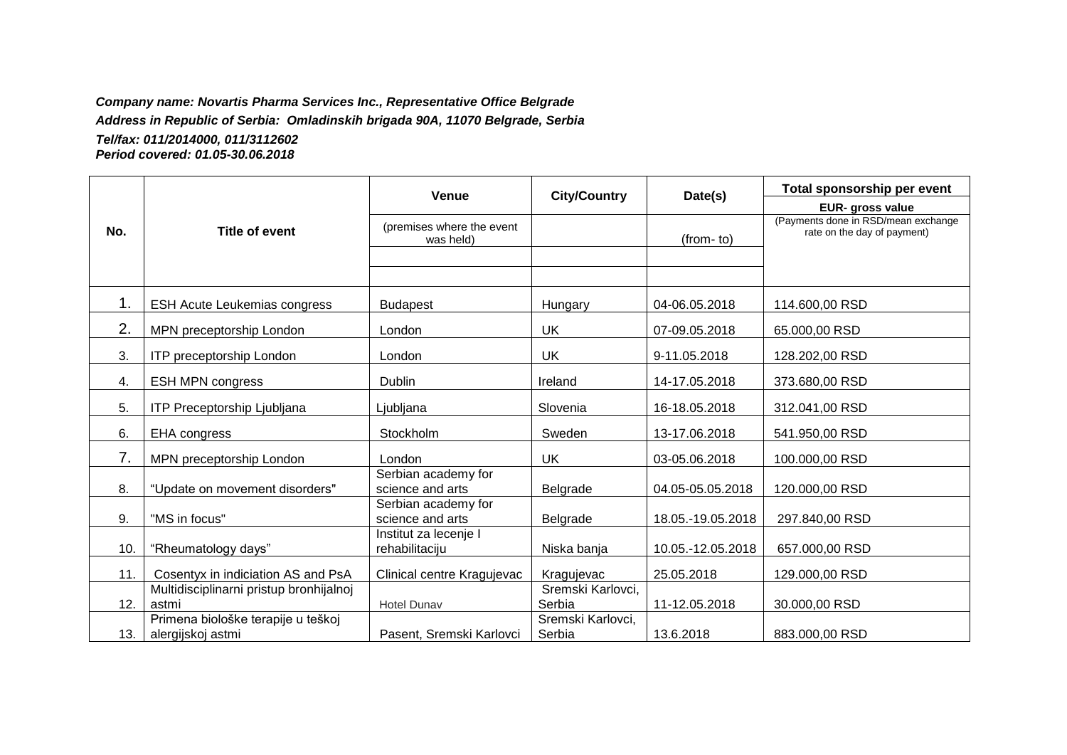## *Company name: Novartis Pharma Services Inc., Representative Office Belgrade*

*Address in Republic of Serbia: Omladinskih brigada 90A, 11070 Belgrade, Serbia*

*Tel/fax: 011/2014000, 011/3112602 Period covered: 01.05-30.06.2018*

|     |                                                         | <b>Venue</b>                            | <b>City/Country</b>         | Date(s)           | Total sponsorship per event                                        |
|-----|---------------------------------------------------------|-----------------------------------------|-----------------------------|-------------------|--------------------------------------------------------------------|
|     |                                                         |                                         |                             |                   | EUR- gross value                                                   |
| No. | <b>Title of event</b>                                   | (premises where the event<br>was held)  |                             | (from-to)         | (Payments done in RSD/mean exchange<br>rate on the day of payment) |
|     |                                                         |                                         |                             |                   |                                                                    |
| 1.  | <b>ESH Acute Leukemias congress</b>                     | <b>Budapest</b>                         | Hungary                     | 04-06.05.2018     | 114.600,00 RSD                                                     |
| 2.  | MPN preceptorship London                                | London                                  | <b>UK</b>                   | 07-09.05.2018     | 65.000,00 RSD                                                      |
| 3.  | ITP preceptorship London                                | London                                  | <b>UK</b>                   | 9-11.05.2018      | 128.202,00 RSD                                                     |
| 4.  | <b>ESH MPN congress</b>                                 | Dublin                                  | Ireland                     | 14-17.05.2018     | 373.680,00 RSD                                                     |
| 5.  | <b>ITP Preceptorship Ljubljana</b>                      | Ljubljana                               | Slovenia                    | 16-18.05.2018     | 312.041,00 RSD                                                     |
| 6.  | <b>EHA</b> congress                                     | Stockholm                               | Sweden                      | 13-17.06.2018     | 541.950,00 RSD                                                     |
| 7.  | MPN preceptorship London                                | London                                  | UK                          | 03-05.06.2018     | 100.000,00 RSD                                                     |
| 8.  | "Update on movement disorders"                          | Serbian academy for<br>science and arts | Belgrade                    | 04.05-05.05.2018  | 120.000,00 RSD                                                     |
| 9.  | "MS in focus"                                           | Serbian academy for<br>science and arts | Belgrade                    | 18.05.-19.05.2018 | 297.840,00 RSD                                                     |
| 10. | "Rheumatology days"                                     | Institut za lecenje I<br>rehabilitaciju | Niska banja                 | 10.05.-12.05.2018 | 657.000,00 RSD                                                     |
| 11. | Cosentyx in indiciation AS and PsA                      | Clinical centre Kragujevac              | Kragujevac                  | 25.05.2018        | 129.000,00 RSD                                                     |
| 12. | Multidisciplinarni pristup bronhijalnoj<br>astmi        | <b>Hotel Dunav</b>                      | Sremski Karlovci,<br>Serbia | 11-12.05.2018     | 30.000,00 RSD                                                      |
| 13. | Primena biološke terapije u teškoj<br>alergijskoj astmi | Pasent, Sremski Karlovci                | Sremski Karlovci,<br>Serbia | 13.6.2018         | 883.000,00 RSD                                                     |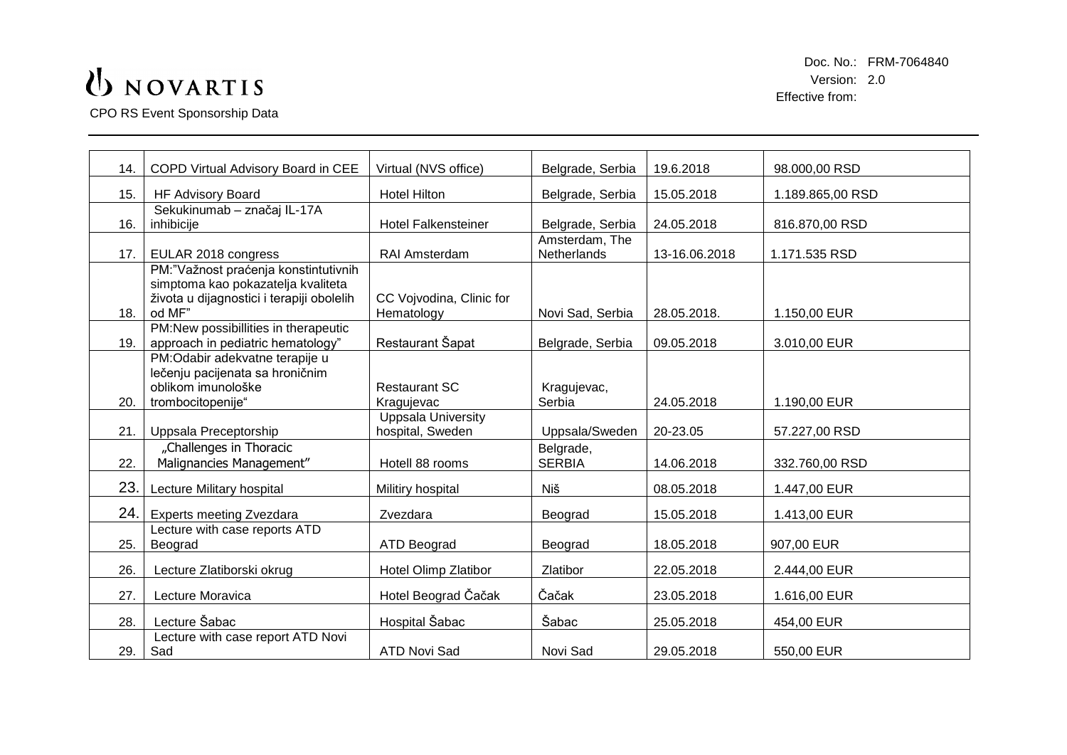## UNOVARTIS

CPO RS Event Sponsorship Data

Doc. No.: FRM-7064840 Version: 2.0 Effective from:

| 14. | COPD Virtual Advisory Board in CEE                               | Virtual (NVS office)               | Belgrade, Serbia      | 19.6.2018     | 98.000,00 RSD    |
|-----|------------------------------------------------------------------|------------------------------------|-----------------------|---------------|------------------|
| 15. | <b>HF Advisory Board</b>                                         | <b>Hotel Hilton</b>                | Belgrade, Serbia      | 15.05.2018    | 1.189.865,00 RSD |
|     | Sekukinumab - značaj IL-17A                                      |                                    |                       |               |                  |
| 16. | inhibicije                                                       | <b>Hotel Falkensteiner</b>         | Belgrade, Serbia      | 24.05.2018    | 816.870,00 RSD   |
|     |                                                                  |                                    | Amsterdam, The        |               |                  |
| 17. | EULAR 2018 congress                                              | RAI Amsterdam                      | Netherlands           | 13-16.06.2018 | 1.171.535 RSD    |
|     | PM:"Važnost praćenja konstintutivnih                             |                                    |                       |               |                  |
|     | simptoma kao pokazatelja kvaliteta                               |                                    |                       |               |                  |
|     | života u dijagnostici i terapiji obolelih                        | CC Vojvodina, Clinic for           |                       |               |                  |
| 18. | od MF"                                                           | Hematology                         | Novi Sad, Serbia      | 28.05.2018.   | 1.150,00 EUR     |
|     | PM:New possibillities in therapeutic                             |                                    |                       |               |                  |
| 19. | approach in pediatric hematology"                                | Restaurant Šapat                   | Belgrade, Serbia      | 09.05.2018    | 3.010,00 EUR     |
|     | PM:Odabir adekvatne terapije u                                   |                                    |                       |               |                  |
|     | lečenju pacijenata sa hroničnim                                  |                                    |                       |               |                  |
| 20. | oblikom imunološke<br>trombocitopenije"                          | <b>Restaurant SC</b><br>Kragujevac | Kragujevac,<br>Serbia | 24.05.2018    | 1.190,00 EUR     |
|     |                                                                  | <b>Uppsala University</b>          |                       |               |                  |
| 21. | Uppsala Preceptorship                                            | hospital, Sweden                   | Uppsala/Sweden        | 20-23.05      | 57.227,00 RSD    |
|     | "Challenges in Thoracic                                          |                                    | Belgrade,             |               |                  |
| 22. | Malignancies Management"                                         | Hotell 88 rooms                    | <b>SERBIA</b>         | 14.06.2018    | 332.760,00 RSD   |
|     |                                                                  |                                    |                       |               |                  |
| 23. | Lecture Military hospital                                        | Militiry hospital                  | Niš                   | 08.05.2018    | 1.447,00 EUR     |
| 24. |                                                                  | Zvezdara                           |                       | 15.05.2018    |                  |
|     | <b>Experts meeting Zvezdara</b><br>Lecture with case reports ATD |                                    | Beograd               |               | 1.413,00 EUR     |
| 25. | Beograd                                                          | <b>ATD Beograd</b>                 | Beograd               | 18.05.2018    | 907,00 EUR       |
|     |                                                                  |                                    |                       |               |                  |
| 26. | Lecture Zlatiborski okrug                                        | Hotel Olimp Zlatibor               | Zlatibor              | 22.05.2018    | 2.444,00 EUR     |
| 27. | Lecture Moravica                                                 | Hotel Beograd Čačak                | Čačak                 | 23.05.2018    | 1.616,00 EUR     |
| 28. | Lecture Šabac                                                    | Hospital Šabac                     | Šabac                 | 25.05.2018    | 454,00 EUR       |
|     | Lecture with case report ATD Novi                                |                                    |                       |               |                  |
| 29. | Sad                                                              | <b>ATD Novi Sad</b>                | Novi Sad              | 29.05.2018    | 550,00 EUR       |